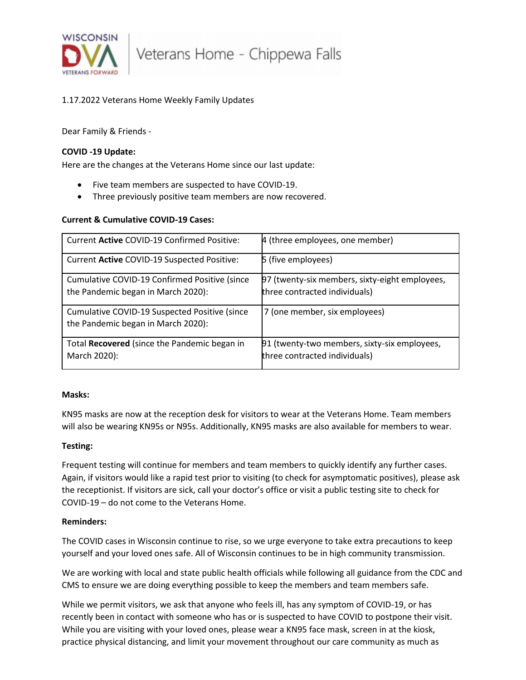

Veterans Home - Chippewa Falls

# 1.17.2022 Veterans Home Weekly Family Updates

Dear Family & Friends -

## **COVID -19 Update:**

Here are the changes at the Veterans Home since our last update:

- Five team members are suspected to have COVID-19.
- Three previously positive team members are now recovered.

### **Current & Cumulative COVID-19 Cases:**

| Current Active COVID-19 Confirmed Positive:                                         | 4 (three employees, one member)                                                 |
|-------------------------------------------------------------------------------------|---------------------------------------------------------------------------------|
| Current Active COVID-19 Suspected Positive:                                         | 5 (five employees)                                                              |
| Cumulative COVID-19 Confirmed Positive (since<br>the Pandemic began in March 2020): | 97 (twenty-six members, sixty-eight employees,<br>three contracted individuals) |
| Cumulative COVID-19 Suspected Positive (since<br>the Pandemic began in March 2020): | 7 (one member, six employees)                                                   |
| Total Recovered (since the Pandemic began in<br>March 2020):                        | 91 (twenty-two members, sixty-six employees,<br>three contracted individuals)   |

#### **Masks:**

KN95 masks are now at the reception desk for visitors to wear at the Veterans Home. Team members will also be wearing KN95s or N95s. Additionally, KN95 masks are also available for members to wear.

#### **Testing:**

Frequent testing will continue for members and team members to quickly identify any further cases. Again, if visitors would like a rapid test prior to visiting (to check for asymptomatic positives), please ask the receptionist. If visitors are sick, call your doctor's office or visit a public testing site to check for COVID-19 – do not come to the Veterans Home.

#### **Reminders:**

The COVID cases in Wisconsin continue to rise, so we urge everyone to take extra precautions to keep yourself and your loved ones safe. All of Wisconsin continues to be in high community transmission.

We are working with local and state public health officials while following all guidance from the CDC and CMS to ensure we are doing everything possible to keep the members and team members safe.

While we permit visitors, we ask that anyone who feels ill, has any symptom of COVID-19, or has recently been in contact with someone who has or is suspected to have COVID to postpone their visit. While you are visiting with your loved ones, please wear a KN95 face mask, screen in at the kiosk, practice physical distancing, and limit your movement throughout our care community as much as